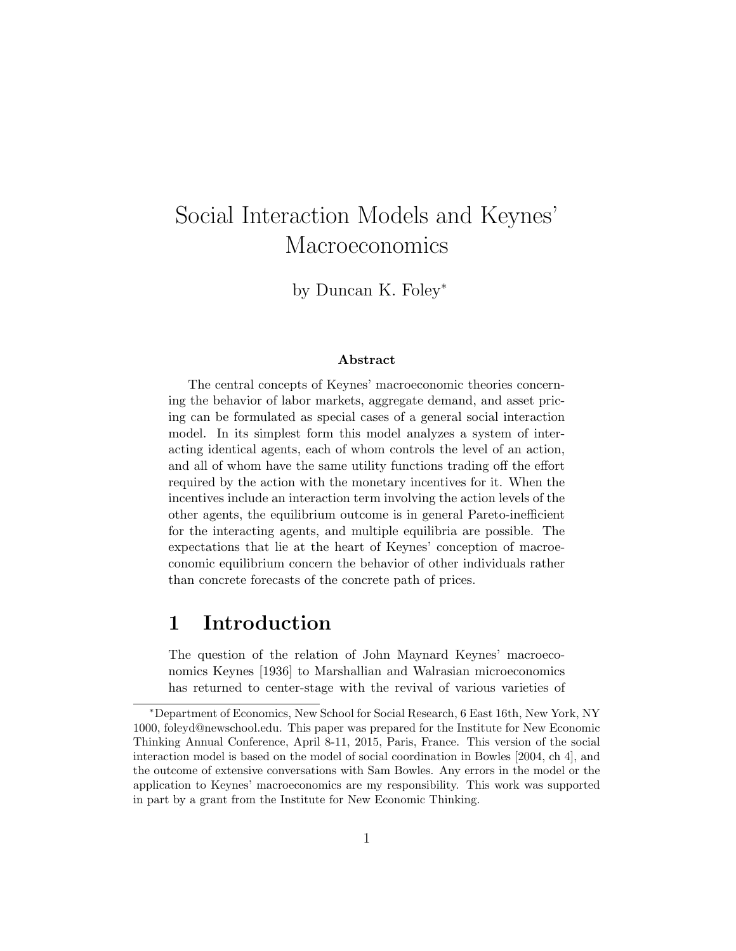# Social Interaction Models and Keynes' Macroeconomics

by Duncan K. Foley<sup>∗</sup>

#### Abstract

The central concepts of Keynes' macroeconomic theories concerning the behavior of labor markets, aggregate demand, and asset pricing can be formulated as special cases of a general social interaction model. In its simplest form this model analyzes a system of interacting identical agents, each of whom controls the level of an action, and all of whom have the same utility functions trading off the effort required by the action with the monetary incentives for it. When the incentives include an interaction term involving the action levels of the other agents, the equilibrium outcome is in general Pareto-inefficient for the interacting agents, and multiple equilibria are possible. The expectations that lie at the heart of Keynes' conception of macroeconomic equilibrium concern the behavior of other individuals rather than concrete forecasts of the concrete path of prices.

### 1 Introduction

The question of the relation of John Maynard Keynes' macroeconomics Keynes [1936] to Marshallian and Walrasian microeconomics has returned to center-stage with the revival of various varieties of

<sup>∗</sup>Department of Economics, New School for Social Research, 6 East 16th, New York, NY 1000, foleyd@newschool.edu. This paper was prepared for the Institute for New Economic Thinking Annual Conference, April 8-11, 2015, Paris, France. This version of the social interaction model is based on the model of social coordination in Bowles [2004, ch 4], and the outcome of extensive conversations with Sam Bowles. Any errors in the model or the application to Keynes' macroeconomics are my responsibility. This work was supported in part by a grant from the Institute for New Economic Thinking.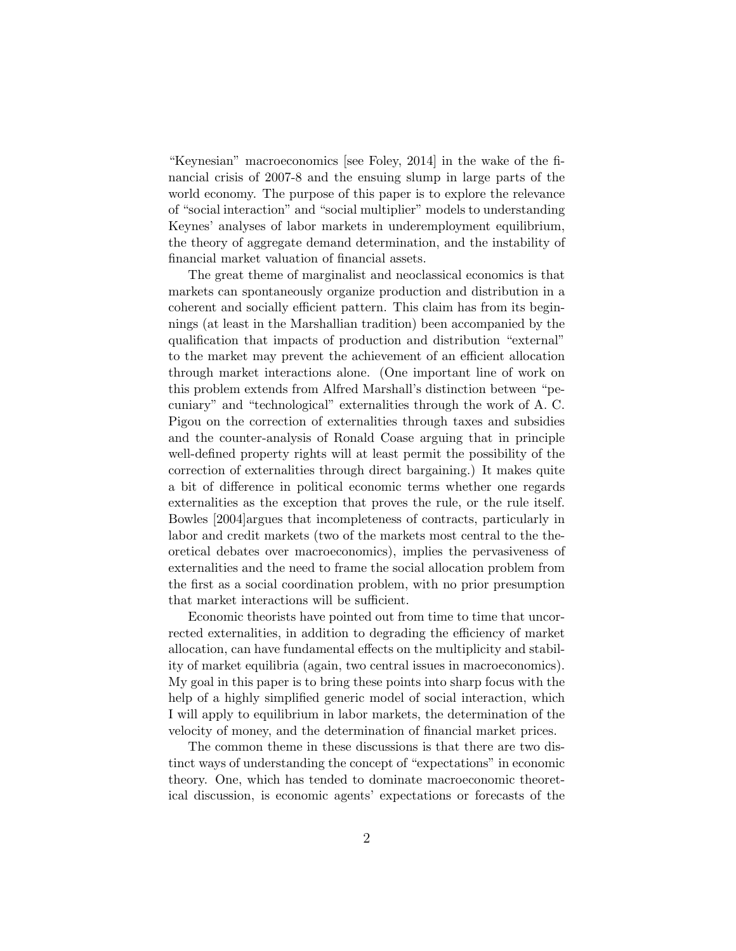"Keynesian" macroeconomics [see Foley, 2014] in the wake of the financial crisis of 2007-8 and the ensuing slump in large parts of the world economy. The purpose of this paper is to explore the relevance of "social interaction" and "social multiplier" models to understanding Keynes' analyses of labor markets in underemployment equilibrium, the theory of aggregate demand determination, and the instability of financial market valuation of financial assets.

The great theme of marginalist and neoclassical economics is that markets can spontaneously organize production and distribution in a coherent and socially efficient pattern. This claim has from its beginnings (at least in the Marshallian tradition) been accompanied by the qualification that impacts of production and distribution "external" to the market may prevent the achievement of an efficient allocation through market interactions alone. (One important line of work on this problem extends from Alfred Marshall's distinction between "pecuniary" and "technological" externalities through the work of A. C. Pigou on the correction of externalities through taxes and subsidies and the counter-analysis of Ronald Coase arguing that in principle well-defined property rights will at least permit the possibility of the correction of externalities through direct bargaining.) It makes quite a bit of difference in political economic terms whether one regards externalities as the exception that proves the rule, or the rule itself. Bowles [2004]argues that incompleteness of contracts, particularly in labor and credit markets (two of the markets most central to the theoretical debates over macroeconomics), implies the pervasiveness of externalities and the need to frame the social allocation problem from the first as a social coordination problem, with no prior presumption that market interactions will be sufficient.

Economic theorists have pointed out from time to time that uncorrected externalities, in addition to degrading the efficiency of market allocation, can have fundamental effects on the multiplicity and stability of market equilibria (again, two central issues in macroeconomics). My goal in this paper is to bring these points into sharp focus with the help of a highly simplified generic model of social interaction, which I will apply to equilibrium in labor markets, the determination of the velocity of money, and the determination of financial market prices.

The common theme in these discussions is that there are two distinct ways of understanding the concept of "expectations" in economic theory. One, which has tended to dominate macroeconomic theoretical discussion, is economic agents' expectations or forecasts of the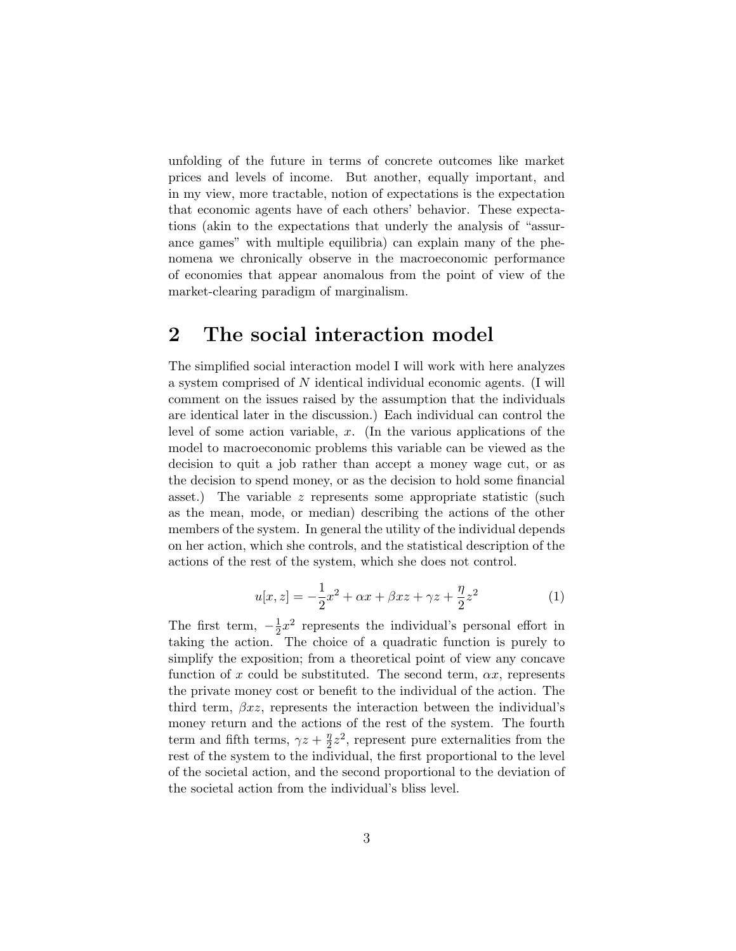unfolding of the future in terms of concrete outcomes like market prices and levels of income. But another, equally important, and in my view, more tractable, notion of expectations is the expectation that economic agents have of each others' behavior. These expectations (akin to the expectations that underly the analysis of "assurance games" with multiple equilibria) can explain many of the phenomena we chronically observe in the macroeconomic performance of economies that appear anomalous from the point of view of the market-clearing paradigm of marginalism.

### 2 The social interaction model

The simplified social interaction model I will work with here analyzes a system comprised of N identical individual economic agents. (I will comment on the issues raised by the assumption that the individuals are identical later in the discussion.) Each individual can control the level of some action variable,  $x$ . (In the various applications of the model to macroeconomic problems this variable can be viewed as the decision to quit a job rather than accept a money wage cut, or as the decision to spend money, or as the decision to hold some financial asset.) The variable  $z$  represents some appropriate statistic (such as the mean, mode, or median) describing the actions of the other members of the system. In general the utility of the individual depends on her action, which she controls, and the statistical description of the actions of the rest of the system, which she does not control.

$$
u[x, z] = -\frac{1}{2}x^2 + \alpha x + \beta x z + \gamma z + \frac{\eta}{2}z^2
$$
 (1)

The first term,  $-\frac{1}{2}$  $\frac{1}{2}x^2$  represents the individual's personal effort in taking the action. The choice of a quadratic function is purely to simplify the exposition; from a theoretical point of view any concave function of x could be substituted. The second term,  $\alpha x$ , represents the private money cost or benefit to the individual of the action. The third term,  $\beta xz$ , represents the interaction between the individual's money return and the actions of the rest of the system. The fourth term and fifth terms,  $\gamma z + \frac{\eta}{2}$  $\frac{\eta}{2}z^2$ , represent pure externalities from the rest of the system to the individual, the first proportional to the level of the societal action, and the second proportional to the deviation of the societal action from the individual's bliss level.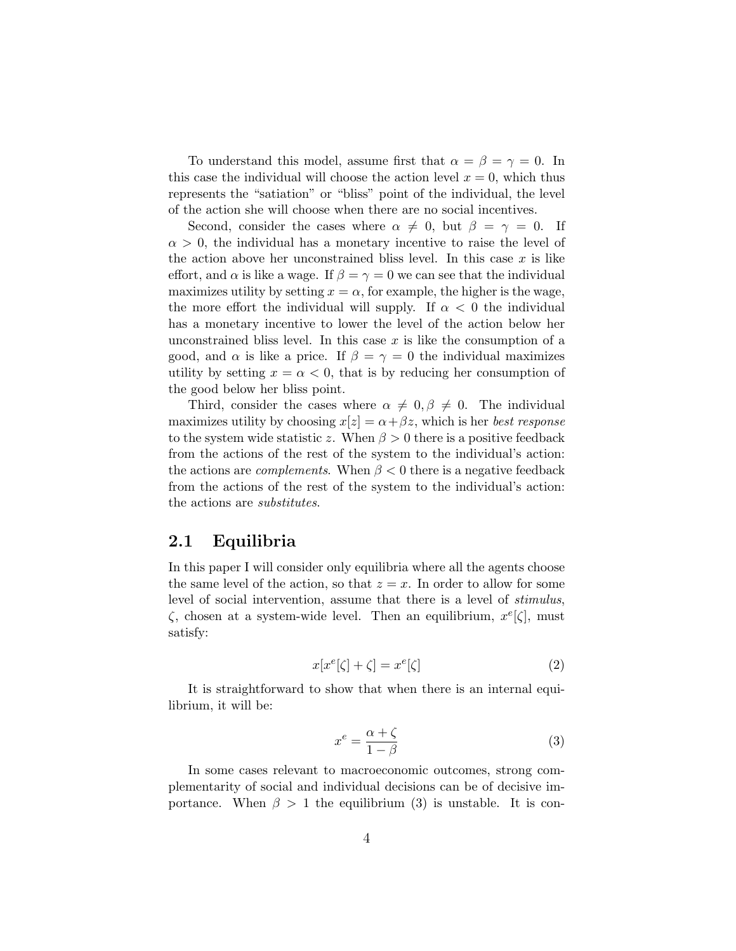To understand this model, assume first that  $\alpha = \beta = \gamma = 0$ . In this case the individual will choose the action level  $x = 0$ , which thus represents the "satiation" or "bliss" point of the individual, the level of the action she will choose when there are no social incentives.

Second, consider the cases where  $\alpha \neq 0$ , but  $\beta = \gamma = 0$ . If  $\alpha > 0$ , the individual has a monetary incentive to raise the level of the action above her unconstrained bliss level. In this case  $x$  is like effort, and  $\alpha$  is like a wage. If  $\beta = \gamma = 0$  we can see that the individual maximizes utility by setting  $x = \alpha$ , for example, the higher is the wage, the more effort the individual will supply. If  $\alpha < 0$  the individual has a monetary incentive to lower the level of the action below her unconstrained bliss level. In this case  $x$  is like the consumption of a good, and  $\alpha$  is like a price. If  $\beta = \gamma = 0$  the individual maximizes utility by setting  $x = \alpha < 0$ , that is by reducing her consumption of the good below her bliss point.

Third, consider the cases where  $\alpha \neq 0, \beta \neq 0$ . The individual maximizes utility by choosing  $x[z] = \alpha + \beta z$ , which is her best response to the system wide statistic z. When  $\beta > 0$  there is a positive feedback from the actions of the rest of the system to the individual's action: the actions are *complements*. When  $\beta < 0$  there is a negative feedback from the actions of the rest of the system to the individual's action: the actions are substitutes.

#### 2.1 Equilibria

In this paper I will consider only equilibria where all the agents choose the same level of the action, so that  $z = x$ . In order to allow for some level of social intervention, assume that there is a level of stimulus,  $\zeta$ , chosen at a system-wide level. Then an equilibrium,  $x^e[\zeta]$ , must satisfy:

$$
x[x^e[\zeta] + \zeta] = x^e[\zeta]
$$
\n(2)

It is straightforward to show that when there is an internal equilibrium, it will be:

$$
x^e = \frac{\alpha + \zeta}{1 - \beta} \tag{3}
$$

In some cases relevant to macroeconomic outcomes, strong complementarity of social and individual decisions can be of decisive importance. When  $\beta > 1$  the equilibrium (3) is unstable. It is con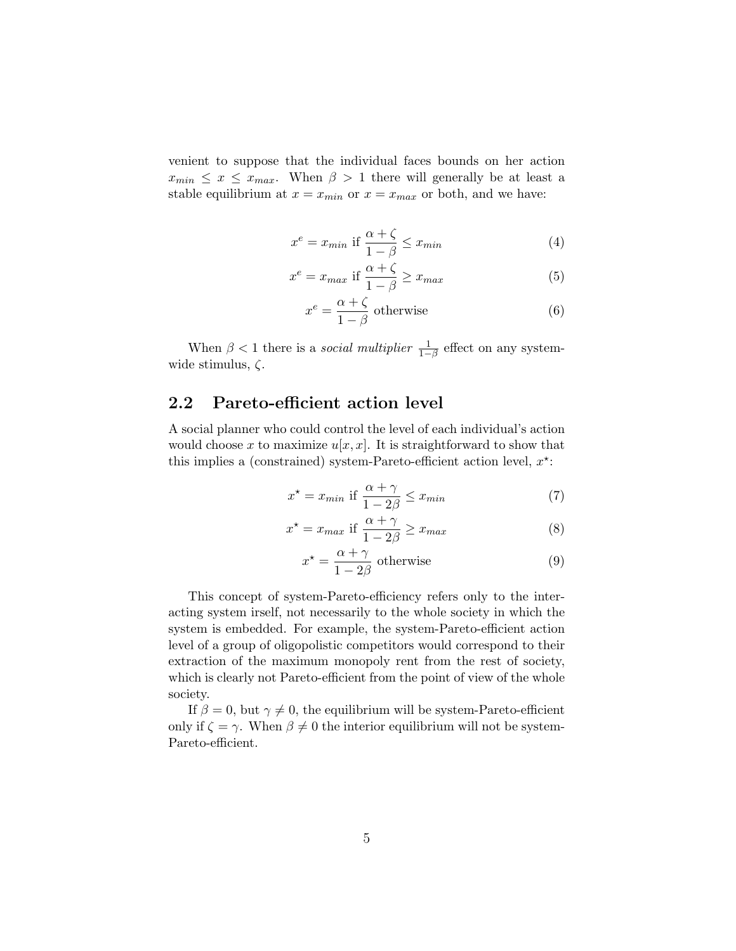venient to suppose that the individual faces bounds on her action  $x_{min} \leq x \leq x_{max}$ . When  $\beta > 1$  there will generally be at least a stable equilibrium at  $x = x_{min}$  or  $x = x_{max}$  or both, and we have:

$$
x^{e} = x_{min} \text{ if } \frac{\alpha + \zeta}{1 - \beta} \le x_{min} \tag{4}
$$

$$
x^{e} = x_{max} \text{ if } \frac{\alpha + \zeta}{1 - \beta} \ge x_{max} \tag{5}
$$

$$
x^{e} = \frac{\alpha + \zeta}{1 - \beta}
$$
 otherwise (6)

When  $\beta < 1$  there is a *social multiplier*  $\frac{1}{1-\beta}$  effect on any systemwide stimulus, ζ.

#### 2.2 Pareto-efficient action level

A social planner who could control the level of each individual's action would choose x to maximize  $u[x, x]$ . It is straightforward to show that this implies a (constrained) system-Pareto-efficient action level,  $x^*$ :

$$
x^* = x_{min} \text{ if } \frac{\alpha + \gamma}{1 - 2\beta} \le x_{min} \tag{7}
$$

$$
x^* = x_{max} \text{ if } \frac{\alpha + \gamma}{1 - 2\beta} \ge x_{max} \tag{8}
$$

$$
x^* = \frac{\alpha + \gamma}{1 - 2\beta}
$$
 otherwise (9)

This concept of system-Pareto-efficiency refers only to the interacting system irself, not necessarily to the whole society in which the system is embedded. For example, the system-Pareto-efficient action level of a group of oligopolistic competitors would correspond to their extraction of the maximum monopoly rent from the rest of society, which is clearly not Pareto-efficient from the point of view of the whole society.

If  $\beta = 0$ , but  $\gamma \neq 0$ , the equilibrium will be system-Pareto-efficient only if  $\zeta = \gamma$ . When  $\beta \neq 0$  the interior equilibrium will not be system-Pareto-efficient.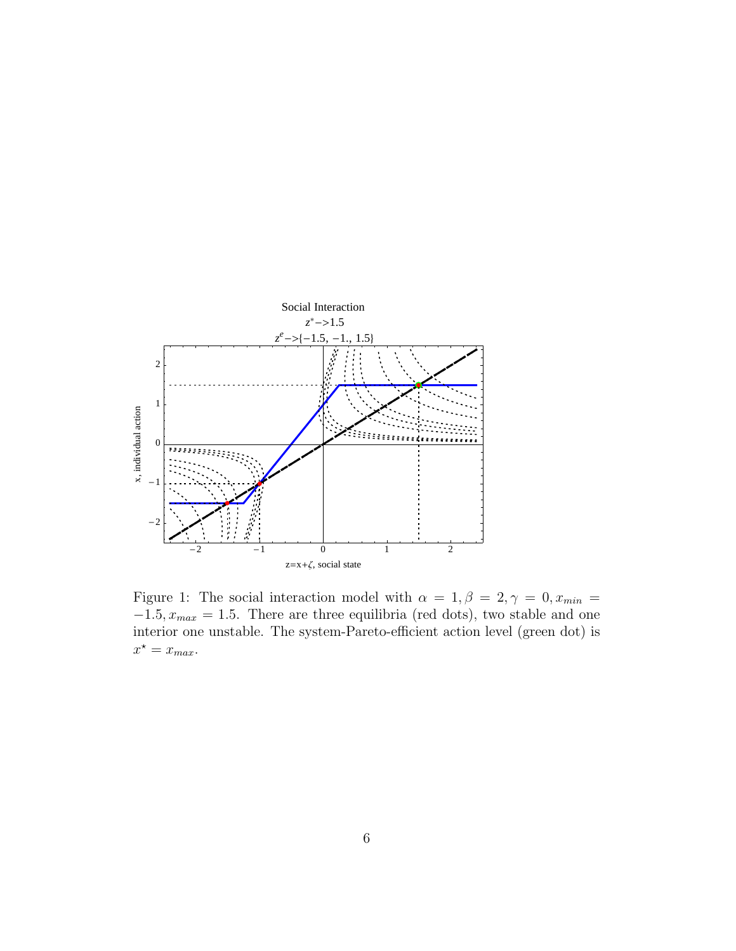

Figure 1: The social interaction model with  $\alpha = 1, \beta = 2, \gamma = 0, x_{min} =$  $-1.5, x_{max} = 1.5$ . There are three equilibria (red dots), two stable and one interior one unstable. The system-Pareto-efficient action level (green dot) is  $x^* = x_{max}.$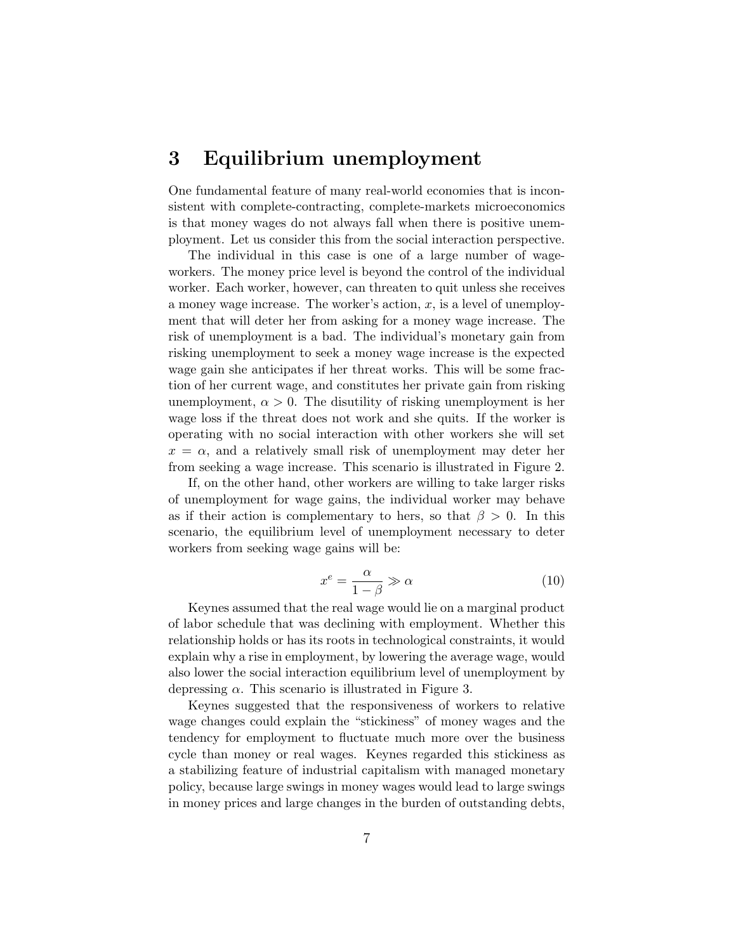#### 3 Equilibrium unemployment

One fundamental feature of many real-world economies that is inconsistent with complete-contracting, complete-markets microeconomics is that money wages do not always fall when there is positive unemployment. Let us consider this from the social interaction perspective.

The individual in this case is one of a large number of wageworkers. The money price level is beyond the control of the individual worker. Each worker, however, can threaten to quit unless she receives a money wage increase. The worker's action,  $x$ , is a level of unemployment that will deter her from asking for a money wage increase. The risk of unemployment is a bad. The individual's monetary gain from risking unemployment to seek a money wage increase is the expected wage gain she anticipates if her threat works. This will be some fraction of her current wage, and constitutes her private gain from risking unemployment,  $\alpha > 0$ . The disutility of risking unemployment is her wage loss if the threat does not work and she quits. If the worker is operating with no social interaction with other workers she will set  $x = \alpha$ , and a relatively small risk of unemployment may deter her from seeking a wage increase. This scenario is illustrated in Figure 2.

If, on the other hand, other workers are willing to take larger risks of unemployment for wage gains, the individual worker may behave as if their action is complementary to hers, so that  $\beta > 0$ . In this scenario, the equilibrium level of unemployment necessary to deter workers from seeking wage gains will be:

$$
x^e = \frac{\alpha}{1 - \beta} \gg \alpha \tag{10}
$$

Keynes assumed that the real wage would lie on a marginal product of labor schedule that was declining with employment. Whether this relationship holds or has its roots in technological constraints, it would explain why a rise in employment, by lowering the average wage, would also lower the social interaction equilibrium level of unemployment by depressing  $\alpha$ . This scenario is illustrated in Figure 3.

Keynes suggested that the responsiveness of workers to relative wage changes could explain the "stickiness" of money wages and the tendency for employment to fluctuate much more over the business cycle than money or real wages. Keynes regarded this stickiness as a stabilizing feature of industrial capitalism with managed monetary policy, because large swings in money wages would lead to large swings in money prices and large changes in the burden of outstanding debts,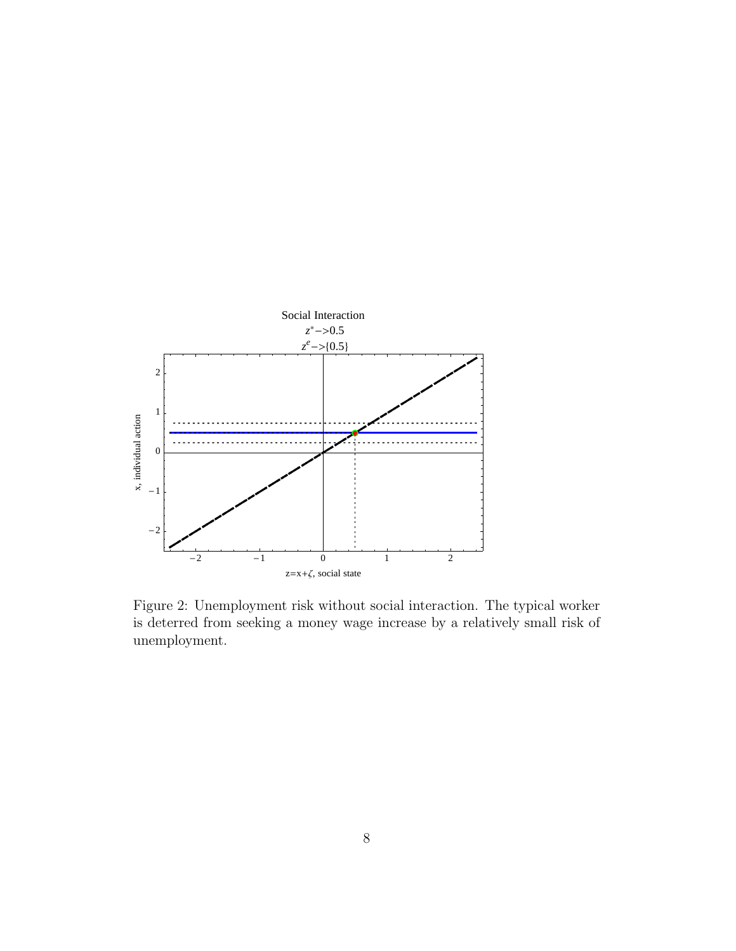

Figure 2: Unemployment risk without social interaction. The typical worker is deterred from seeking a money wage increase by a relatively small risk of unemployment.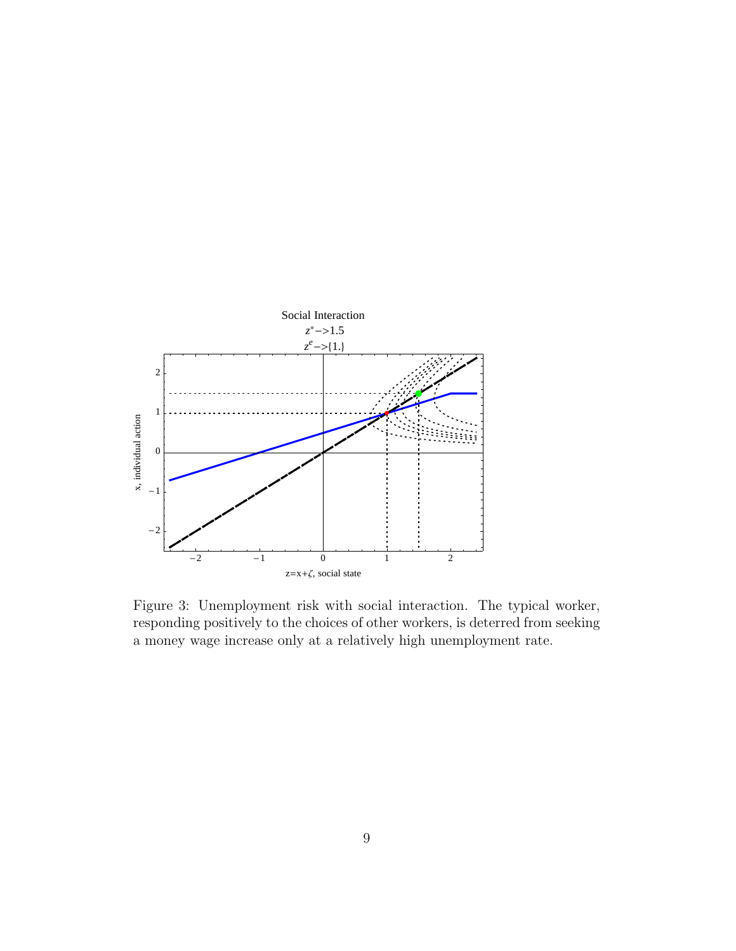

Figure 3: Unemployment risk with social interaction. The typical worker, responding positively to the choices of other workers, is deterred from seeking a money wage increase only at a relatively high unemployment rate.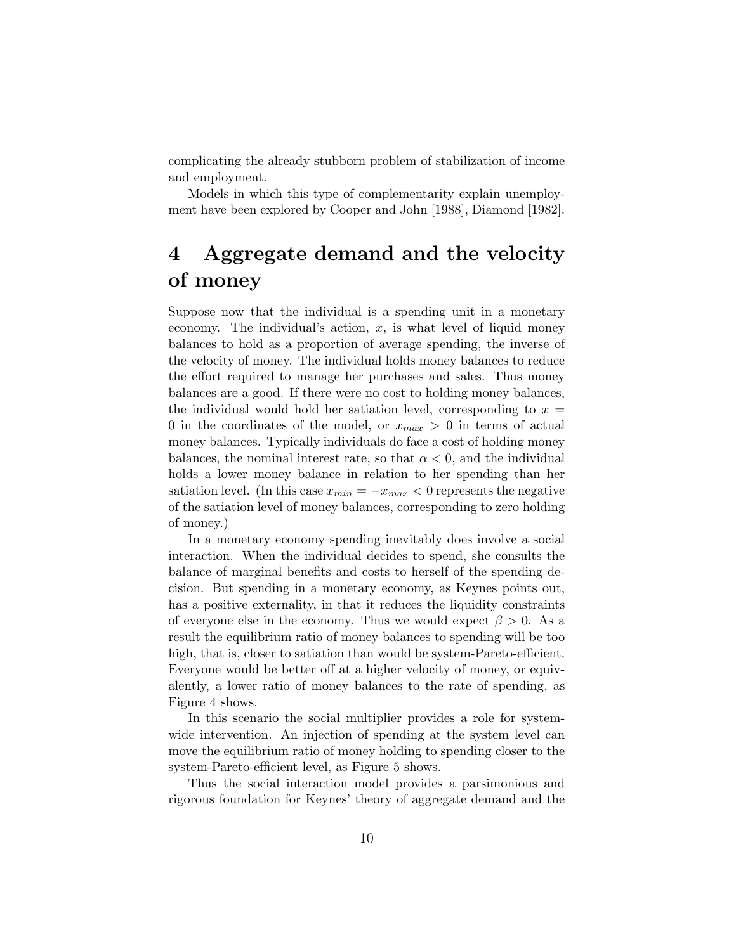complicating the already stubborn problem of stabilization of income and employment.

Models in which this type of complementarity explain unemployment have been explored by Cooper and John [1988], Diamond [1982].

# 4 Aggregate demand and the velocity of money

Suppose now that the individual is a spending unit in a monetary economy. The individual's action,  $x$ , is what level of liquid money balances to hold as a proportion of average spending, the inverse of the velocity of money. The individual holds money balances to reduce the effort required to manage her purchases and sales. Thus money balances are a good. If there were no cost to holding money balances, the individual would hold her satiation level, corresponding to  $x =$ 0 in the coordinates of the model, or  $x_{max} > 0$  in terms of actual money balances. Typically individuals do face a cost of holding money balances, the nominal interest rate, so that  $\alpha < 0$ , and the individual holds a lower money balance in relation to her spending than her satiation level. (In this case  $x_{min} = -x_{max} < 0$  represents the negative of the satiation level of money balances, corresponding to zero holding of money.)

In a monetary economy spending inevitably does involve a social interaction. When the individual decides to spend, she consults the balance of marginal benefits and costs to herself of the spending decision. But spending in a monetary economy, as Keynes points out, has a positive externality, in that it reduces the liquidity constraints of everyone else in the economy. Thus we would expect  $\beta > 0$ . As a result the equilibrium ratio of money balances to spending will be too high, that is, closer to satiation than would be system-Pareto-efficient. Everyone would be better off at a higher velocity of money, or equivalently, a lower ratio of money balances to the rate of spending, as Figure 4 shows.

In this scenario the social multiplier provides a role for systemwide intervention. An injection of spending at the system level can move the equilibrium ratio of money holding to spending closer to the system-Pareto-efficient level, as Figure 5 shows.

Thus the social interaction model provides a parsimonious and rigorous foundation for Keynes' theory of aggregate demand and the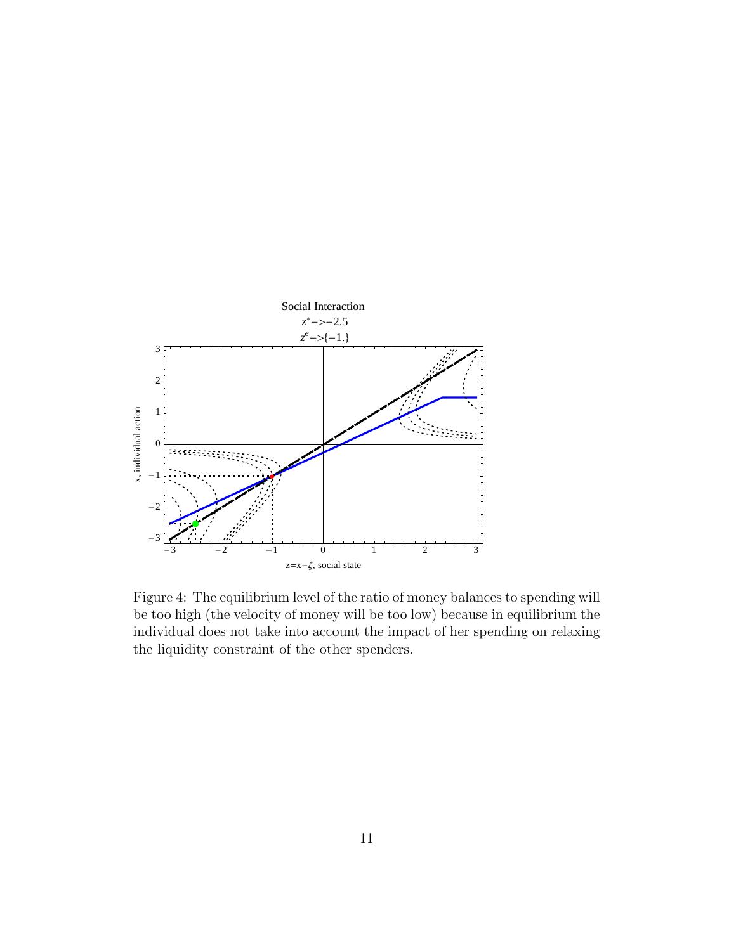

Figure 4: The equilibrium level of the ratio of money balances to spending will be too high (the velocity of money will be too low) because in equilibrium the individual does not take into account the impact of her spending on relaxing the liquidity constraint of the other spenders.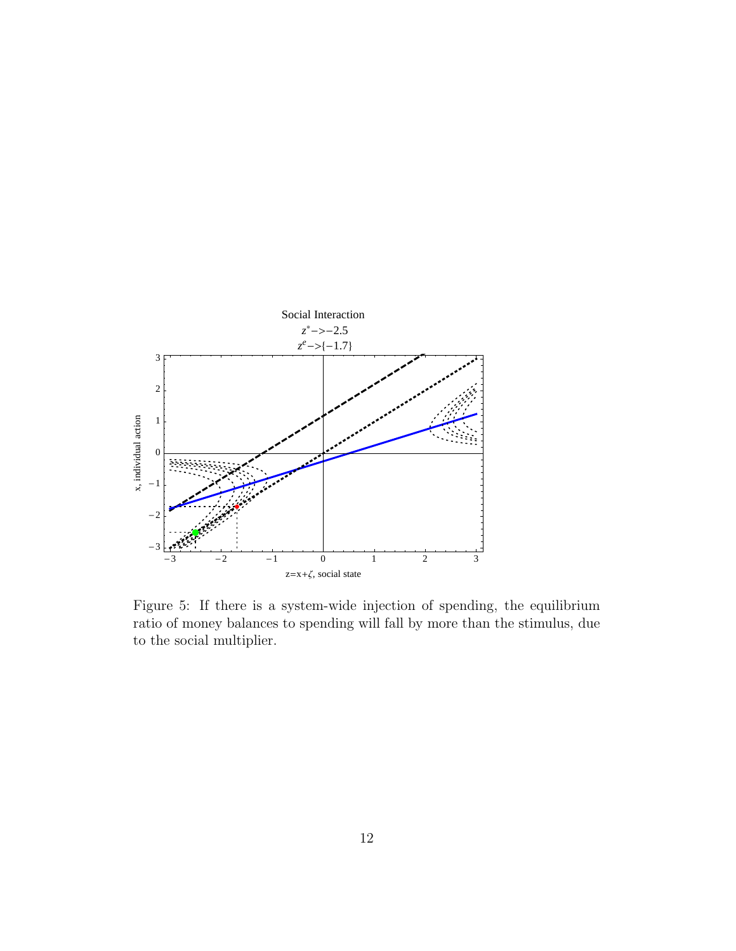

Figure 5: If there is a system-wide injection of spending, the equilibrium ratio of money balances to spending will fall by more than the stimulus, due to the social multiplier.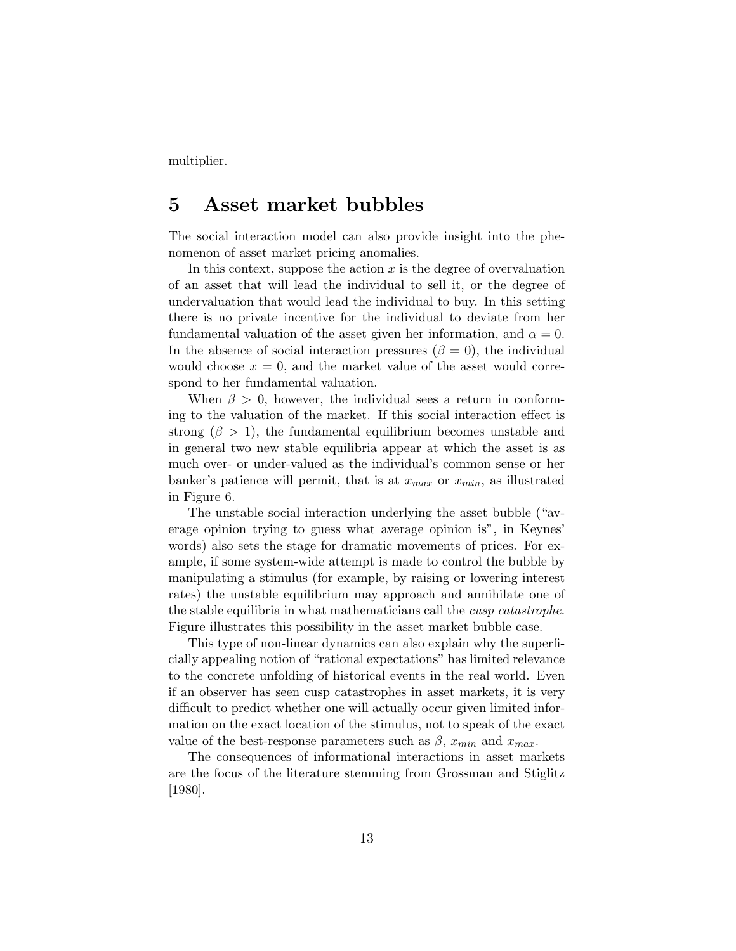multiplier.

### 5 Asset market bubbles

The social interaction model can also provide insight into the phenomenon of asset market pricing anomalies.

In this context, suppose the action  $x$  is the degree of overvaluation of an asset that will lead the individual to sell it, or the degree of undervaluation that would lead the individual to buy. In this setting there is no private incentive for the individual to deviate from her fundamental valuation of the asset given her information, and  $\alpha = 0$ . In the absence of social interaction pressures ( $\beta = 0$ ), the individual would choose  $x = 0$ , and the market value of the asset would correspond to her fundamental valuation.

When  $\beta > 0$ , however, the individual sees a return in conforming to the valuation of the market. If this social interaction effect is strong  $(\beta > 1)$ , the fundamental equilibrium becomes unstable and in general two new stable equilibria appear at which the asset is as much over- or under-valued as the individual's common sense or her banker's patience will permit, that is at  $x_{max}$  or  $x_{min}$ , as illustrated in Figure 6.

The unstable social interaction underlying the asset bubble ("average opinion trying to guess what average opinion is", in Keynes' words) also sets the stage for dramatic movements of prices. For example, if some system-wide attempt is made to control the bubble by manipulating a stimulus (for example, by raising or lowering interest rates) the unstable equilibrium may approach and annihilate one of the stable equilibria in what mathematicians call the cusp catastrophe. Figure illustrates this possibility in the asset market bubble case.

This type of non-linear dynamics can also explain why the superficially appealing notion of "rational expectations" has limited relevance to the concrete unfolding of historical events in the real world. Even if an observer has seen cusp catastrophes in asset markets, it is very difficult to predict whether one will actually occur given limited information on the exact location of the stimulus, not to speak of the exact value of the best-response parameters such as  $\beta$ ,  $x_{min}$  and  $x_{max}$ .

The consequences of informational interactions in asset markets are the focus of the literature stemming from Grossman and Stiglitz [1980].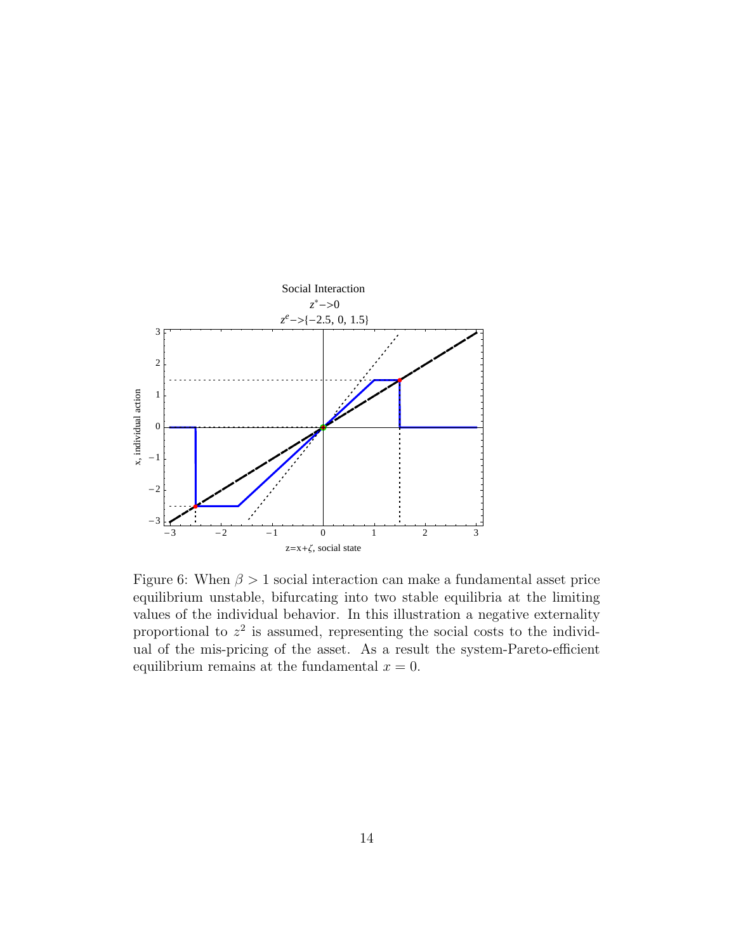

Figure 6: When  $\beta > 1$  social interaction can make a fundamental asset price equilibrium unstable, bifurcating into two stable equilibria at the limiting values of the individual behavior. In this illustration a negative externality proportional to  $z^2$  is assumed, representing the social costs to the individual of the mis-pricing of the asset. As a result the system-Pareto-efficient equilibrium remains at the fundamental  $x = 0$ .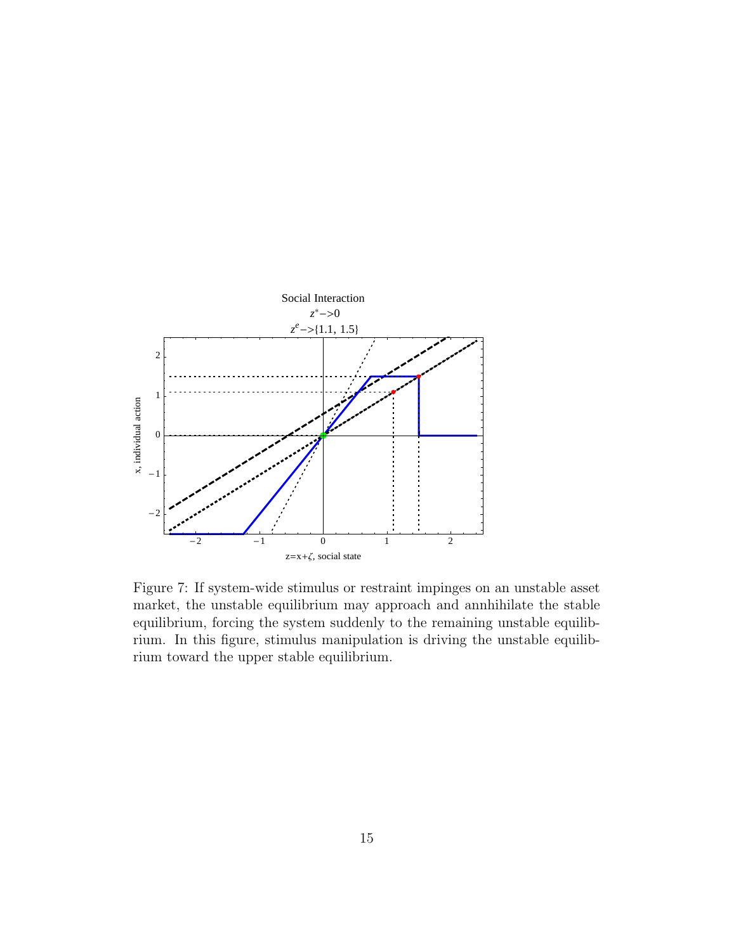

Figure 7: If system-wide stimulus or restraint impinges on an unstable asset market, the unstable equilibrium may approach and annhihilate the stable equilibrium, forcing the system suddenly to the remaining unstable equilibrium. In this figure, stimulus manipulation is driving the unstable equilibrium toward the upper stable equilibrium.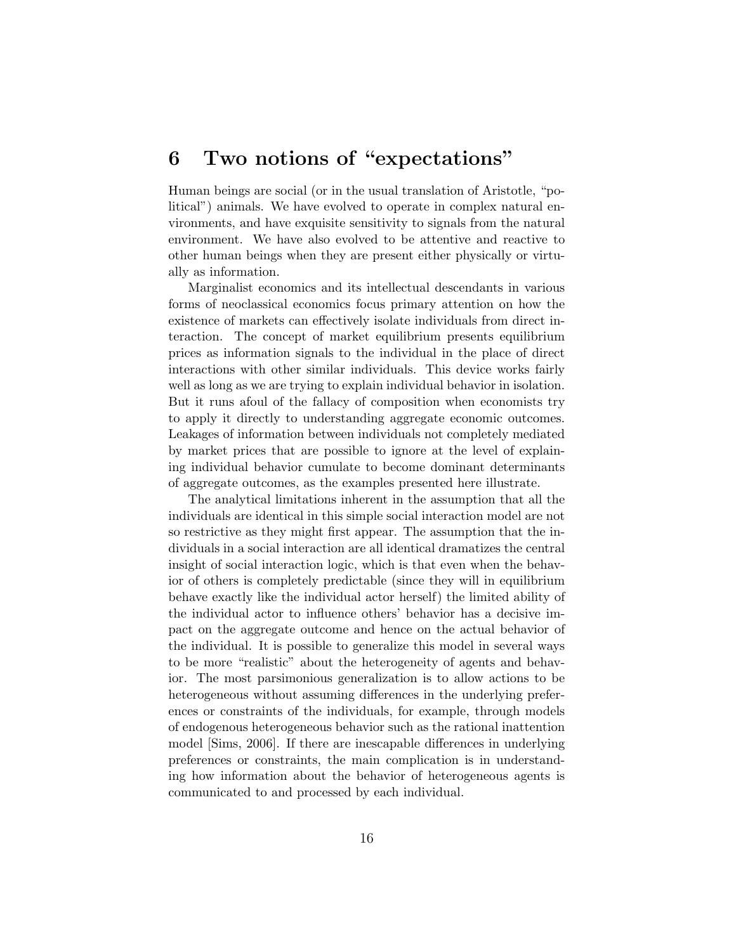## 6 Two notions of "expectations"

Human beings are social (or in the usual translation of Aristotle, "political") animals. We have evolved to operate in complex natural environments, and have exquisite sensitivity to signals from the natural environment. We have also evolved to be attentive and reactive to other human beings when they are present either physically or virtually as information.

Marginalist economics and its intellectual descendants in various forms of neoclassical economics focus primary attention on how the existence of markets can effectively isolate individuals from direct interaction. The concept of market equilibrium presents equilibrium prices as information signals to the individual in the place of direct interactions with other similar individuals. This device works fairly well as long as we are trying to explain individual behavior in isolation. But it runs afoul of the fallacy of composition when economists try to apply it directly to understanding aggregate economic outcomes. Leakages of information between individuals not completely mediated by market prices that are possible to ignore at the level of explaining individual behavior cumulate to become dominant determinants of aggregate outcomes, as the examples presented here illustrate.

The analytical limitations inherent in the assumption that all the individuals are identical in this simple social interaction model are not so restrictive as they might first appear. The assumption that the individuals in a social interaction are all identical dramatizes the central insight of social interaction logic, which is that even when the behavior of others is completely predictable (since they will in equilibrium behave exactly like the individual actor herself) the limited ability of the individual actor to influence others' behavior has a decisive impact on the aggregate outcome and hence on the actual behavior of the individual. It is possible to generalize this model in several ways to be more "realistic" about the heterogeneity of agents and behavior. The most parsimonious generalization is to allow actions to be heterogeneous without assuming differences in the underlying preferences or constraints of the individuals, for example, through models of endogenous heterogeneous behavior such as the rational inattention model [Sims, 2006]. If there are inescapable differences in underlying preferences or constraints, the main complication is in understanding how information about the behavior of heterogeneous agents is communicated to and processed by each individual.